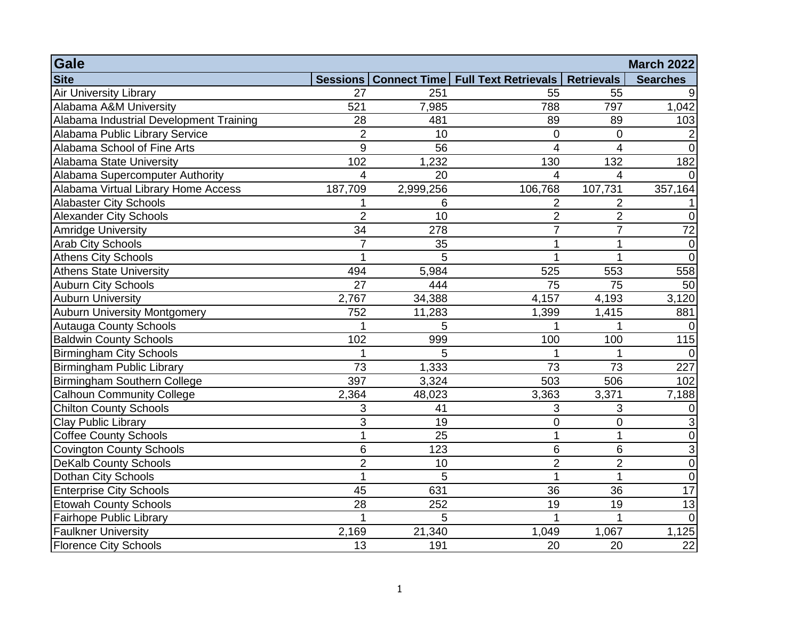| Gale<br><b>March 2022</b>               |                 |           |                                                |                   |                 |
|-----------------------------------------|-----------------|-----------|------------------------------------------------|-------------------|-----------------|
| <b>Site</b>                             |                 |           | Sessions   Connect Time   Full Text Retrievals | <b>Retrievals</b> | <b>Searches</b> |
| <b>Air University Library</b>           | 27              | 251       | 55                                             | 55                |                 |
| Alabama A&M University                  | 521             | 7,985     | 788                                            | 797               | 1,042           |
| Alabama Industrial Development Training | 28              | 481       | 89                                             | 89                | 103             |
| Alabama Public Library Service          | $\overline{2}$  | 10        | $\mathbf 0$                                    | $\mathbf 0$       |                 |
| Alabama School of Fine Arts             | 9               | 56        | $\overline{\mathcal{A}}$                       | $\overline{4}$    | $\Omega$        |
| Alabama State University                | 102             | 1,232     | 130                                            | 132               | 182             |
| Alabama Supercomputer Authority         | 4               | 20        | $\overline{4}$                                 | $\overline{4}$    |                 |
| Alabama Virtual Library Home Access     | 187,709         | 2,999,256 | 106,768                                        | 107,731           | 357,164         |
| <b>Alabaster City Schools</b>           |                 | 6         | 2                                              | $\overline{2}$    |                 |
| <b>Alexander City Schools</b>           | $\overline{2}$  | 10        | $\overline{2}$                                 | $\overline{2}$    | 0               |
| Amridge University                      | 34              | 278       | $\overline{7}$                                 | $\overline{7}$    | 72              |
| <b>Arab City Schools</b>                | $\overline{7}$  | 35        | $\overline{1}$                                 | 1                 | $\mathbf 0$     |
| Athens City Schools                     |                 | 5         | 1                                              | 1                 | $\overline{0}$  |
| <b>Athens State University</b>          | 494             | 5,984     | 525                                            | 553               | 558             |
| Auburn City Schools                     | 27              | 444       | 75                                             | 75                | 50              |
| Auburn University                       | 2,767           | 34,388    | 4,157                                          | 4,193             | 3,120           |
| <b>Auburn University Montgomery</b>     | 752             | 11,283    | 1,399                                          | 1,415             | 881             |
| <b>Autauga County Schools</b>           |                 | 5         | 1                                              | 1                 | $\Omega$        |
| <b>Baldwin County Schools</b>           | 102             | 999       | 100                                            | 100               | 115             |
| <b>Birmingham City Schools</b>          |                 | 5         |                                                |                   | $\Omega$        |
| Birmingham Public Library               | $\overline{73}$ | 1,333     | $\overline{73}$                                | $\overline{73}$   | 227             |
| Birmingham Southern College             | 397             | 3,324     | 503                                            | 506               | 102             |
| <b>Calhoun Community College</b>        | 2,364           | 48,023    | 3,363                                          | 3,371             | 7,188           |
| <b>Chilton County Schools</b>           | 3               | 41        | $\sqrt{3}$                                     | 3                 | 0               |
| <b>Clay Public Library</b>              | 3               | 19        | $\mathbf 0$                                    | $\mathbf 0$       | 3               |
| <b>Coffee County Schools</b>            | 1               | 25        | $\mathbf{1}$                                   | 1                 | $\mathbf 0$     |
| <b>Covington County Schools</b>         | 6               | 123       | 6                                              | 6                 | 3               |
| <b>DeKalb County Schools</b>            | $\overline{2}$  | 10        | $\overline{2}$                                 | $\overline{2}$    | $\mathbf 0$     |
| Dothan City Schools                     | 1               | 5         | $\overline{1}$                                 | 1                 | $\mathbf 0$     |
| <b>Enterprise City Schools</b>          | 45              | 631       | 36                                             | 36                | $\overline{17}$ |
| Etowah County Schools                   | 28              | 252       | 19                                             | 19                | 13              |
| Fairhope Public Library                 |                 | 5         | $\mathbf{1}$                                   | 1                 | $\Omega$        |
| <b>Faulkner University</b>              | 2,169           | 21,340    | 1,049                                          | 1,067             | 1,125           |
| <b>Florence City Schools</b>            | 13              | 191       | 20                                             | 20                | $\overline{22}$ |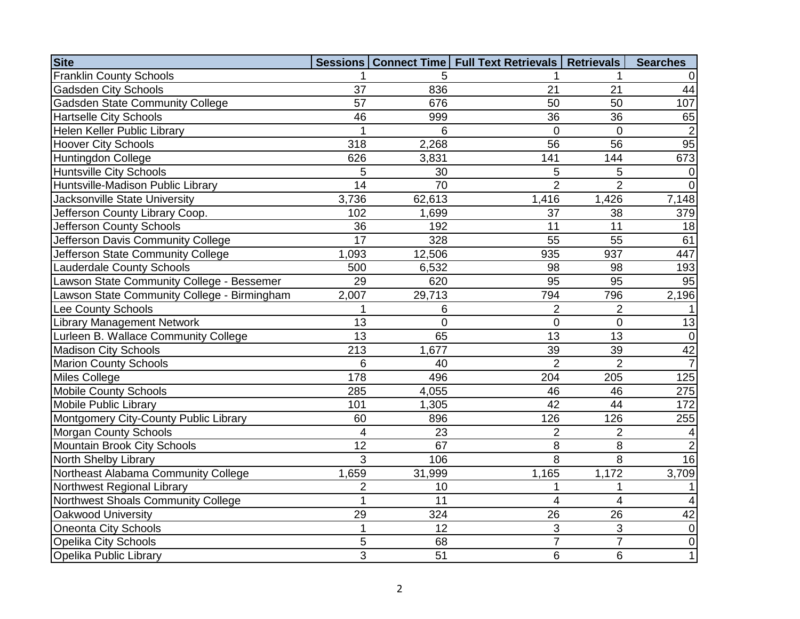| <b>Site</b>                                 |                 |                 | Sessions   Connect Time   Full Text Retrievals   Retrievals |                | <b>Searches</b> |
|---------------------------------------------|-----------------|-----------------|-------------------------------------------------------------|----------------|-----------------|
| <b>Franklin County Schools</b>              |                 | 5               |                                                             |                |                 |
| <b>Gadsden City Schools</b>                 | 37              | 836             | 21                                                          | 21             | 44              |
| <b>Gadsden State Community College</b>      | 57              | 676             | 50                                                          | 50             | 107             |
| <b>Hartselle City Schools</b>               | 46              | 999             | 36                                                          | 36             | 65              |
| Helen Keller Public Library                 |                 | 6               | $\mathbf 0$                                                 | $\overline{0}$ | $\overline{2}$  |
| <b>Hoover City Schools</b>                  | 318             | 2,268           | 56                                                          | 56             | 95              |
| Huntingdon College                          | 626             | 3,831           | 141                                                         | 144            | 673             |
| <b>Huntsville City Schools</b>              | 5               | 30              | 5                                                           | 5              | $\overline{0}$  |
| Huntsville-Madison Public Library           | 14              | 70              | $\overline{2}$                                              | $\overline{2}$ | $\overline{0}$  |
| Jacksonville State University               | 3,736           | 62,613          | 1,416                                                       | 1,426          | 7,148           |
| Jefferson County Library Coop.              | 102             | 1,699           | 37                                                          | 38             | 379             |
| Jefferson County Schools                    | 36              | 192             | 11                                                          | 11             | 18              |
| Jefferson Davis Community College           | 17              | 328             | 55                                                          | 55             | 61              |
| Jefferson State Community College           | 1,093           | 12,506          | 935                                                         | 937            | 447             |
| <b>Lauderdale County Schools</b>            | 500             | 6,532           | 98                                                          | 98             | 193             |
| Lawson State Community College - Bessemer   | 29              | 620             | 95                                                          | 95             | 95              |
| Lawson State Community College - Birmingham | 2,007           | 29,713          | 794                                                         | 796            | 2,196           |
| Lee County Schools                          | $\mathbf{1}$    | 6               | $\overline{2}$                                              | $\overline{2}$ |                 |
| <b>Library Management Network</b>           | 13              | $\overline{0}$  | $\mathbf 0$                                                 | 0              | 13              |
| Lurleen B. Wallace Community College        | $\overline{13}$ | 65              | 13                                                          | 13             | $\overline{0}$  |
| <b>Madison City Schools</b>                 | 213             | 1,677           | 39                                                          | 39             | 42              |
| <b>Marion County Schools</b>                | 6               | 40              | $\overline{2}$                                              | $\overline{2}$ | $\overline{7}$  |
| <b>Miles College</b>                        | 178             | 496             | 204                                                         | 205            | 125             |
| <b>Mobile County Schools</b>                | 285             | 4,055           | 46                                                          | 46             | 275             |
| Mobile Public Library                       | 101             | 1,305           | 42                                                          | 44             | 172             |
| Montgomery City-County Public Library       | 60              | 896             | 126                                                         | 126            | 255             |
| <b>Morgan County Schools</b>                | 4               | 23              | $\overline{2}$                                              | $\overline{2}$ | 4               |
| Mountain Brook City Schools                 | $\overline{12}$ | 67              | 8                                                           | 8              | $\overline{2}$  |
| North Shelby Library                        | 3               | 106             | 8                                                           | 8              | 16              |
| Northeast Alabama Community College         | 1,659           | 31,999          | 1,165                                                       | 1,172          | 3,709           |
| Northwest Regional Library                  | $\overline{2}$  | 10              | 1                                                           | 1              |                 |
| Northwest Shoals Community College          | $\overline{1}$  | $\overline{11}$ | $\overline{4}$                                              | $\overline{4}$ | 4               |
| Oakwood University                          | 29              | 324             | 26                                                          | 26             | 42              |
| <b>Oneonta City Schools</b>                 | $\mathbf{1}$    | 12              | 3                                                           | 3              | $\mathbf 0$     |
| <b>Opelika City Schools</b>                 | 5               | 68              | $\overline{7}$                                              | $\overline{7}$ | $\mathbf 0$     |
| Opelika Public Library                      | 3               | 51              | 6                                                           | 6              | 1               |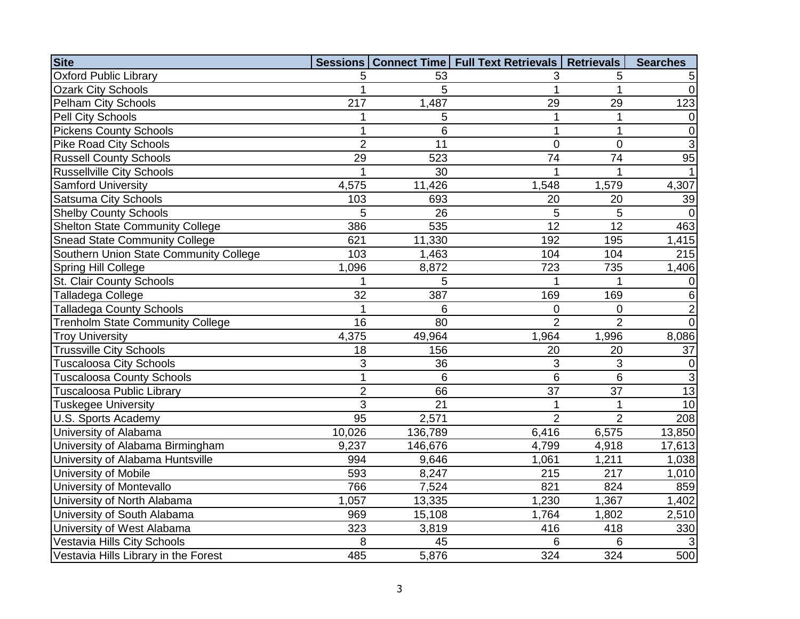| <b>Site</b>                             |                 |         | Sessions   Connect Time   Full Text Retrievals   Retrievals |                 | <b>Searches</b> |
|-----------------------------------------|-----------------|---------|-------------------------------------------------------------|-----------------|-----------------|
| <b>Oxford Public Library</b>            | 5               | 53      | 3                                                           | 5               | 5               |
| <b>Ozark City Schools</b>               | 1               | 5       | 1                                                           | 1               | $\overline{0}$  |
| <b>Pelham City Schools</b>              | 217             | 1,487   | 29                                                          | 29              | 123             |
| Pell City Schools                       |                 | 5       | 1                                                           |                 | 0               |
| <b>Pickens County Schools</b>           | 1               | 6       | $\mathbf 1$                                                 | 1               | $\overline{0}$  |
| <b>Pike Road City Schools</b>           | $\overline{2}$  | 11      | $\mathbf 0$                                                 | $\mathbf 0$     | $\overline{3}$  |
| <b>Russell County Schools</b>           | $\overline{29}$ | 523     | $\overline{74}$                                             | 74              | 95              |
| <b>Russellville City Schools</b>        | 1               | 30      | 1                                                           |                 | $\mathbf 1$     |
| <b>Samford University</b>               | 4,575           | 11,426  | 1,548                                                       | 1,579           | 4,307           |
| <b>Satsuma City Schools</b>             | 103             | 693     | 20                                                          | 20              | 39              |
| <b>Shelby County Schools</b>            | 5               | 26      | 5                                                           | $\overline{5}$  | 0               |
| <b>Shelton State Community College</b>  | 386             | 535     | 12                                                          | 12              | 463             |
| <b>Snead State Community College</b>    | 621             | 11,330  | 192                                                         | 195             | 1,415           |
| Southern Union State Community College  | 103             | 1,463   | 104                                                         | 104             | 215             |
| Spring Hill College                     | 1,096           | 8,872   | 723                                                         | 735             | 1,406           |
| <b>St. Clair County Schools</b>         | 1               | 5       | 1                                                           |                 | $\vert 0 \vert$ |
| Talladega College                       | $\overline{32}$ | 387     | 169                                                         | 169             | $\overline{6}$  |
| <b>Talladega County Schools</b>         | 1               | 6       | 0                                                           | $\mathbf 0$     | $\overline{2}$  |
| <b>Trenholm State Community College</b> | 16              | 80      | $\overline{2}$                                              | $\overline{2}$  | $\overline{0}$  |
| <b>Troy University</b>                  | 4,375           | 49,964  | 1,964                                                       | 1,996           | 8,086           |
| <b>Trussville City Schools</b>          | 18              | 156     | 20                                                          | 20              | 37              |
| <b>Tuscaloosa City Schools</b>          | 3               | 36      | 3                                                           | 3               | $\overline{0}$  |
| <b>Tuscaloosa County Schools</b>        | 1               | 6       | 6                                                           | $6\phantom{1}6$ | $\mathbf{3}$    |
| <b>Tuscaloosa Public Library</b>        | $\overline{2}$  | 66      | 37                                                          | $\overline{37}$ | 13              |
| <b>Tuskegee University</b>              | 3               | 21      | $\mathbf{1}$                                                | 1               | 10              |
| U.S. Sports Academy                     | $\overline{95}$ | 2,571   | $\overline{2}$                                              | $\overline{2}$  | 208             |
| University of Alabama                   | 10,026          | 136,789 | 6,416                                                       | 6,575           | 13,850          |
| University of Alabama Birmingham        | 9,237           | 146,676 | 4,799                                                       | 4,918           | 17,613          |
| University of Alabama Huntsville        | 994             | 9,646   | 1,061                                                       | 1,211           | 1,038           |
| University of Mobile                    | 593             | 8,247   | 215                                                         | 217             | 1,010           |
| University of Montevallo                | 766             | 7,524   | 821                                                         | 824             | 859             |
| University of North Alabama             | 1,057           | 13,335  | 1,230                                                       | 1,367           | 1,402           |
| University of South Alabama             | 969             | 15,108  | 1,764                                                       | 1,802           | 2,510           |
| University of West Alabama              | 323             | 3,819   | 416                                                         | 418             | 330             |
| Vestavia Hills City Schools             | 8               | 45      | 6                                                           | $6\phantom{1}6$ | 3               |
| Vestavia Hills Library in the Forest    | 485             | 5,876   | 324                                                         | 324             | 500             |